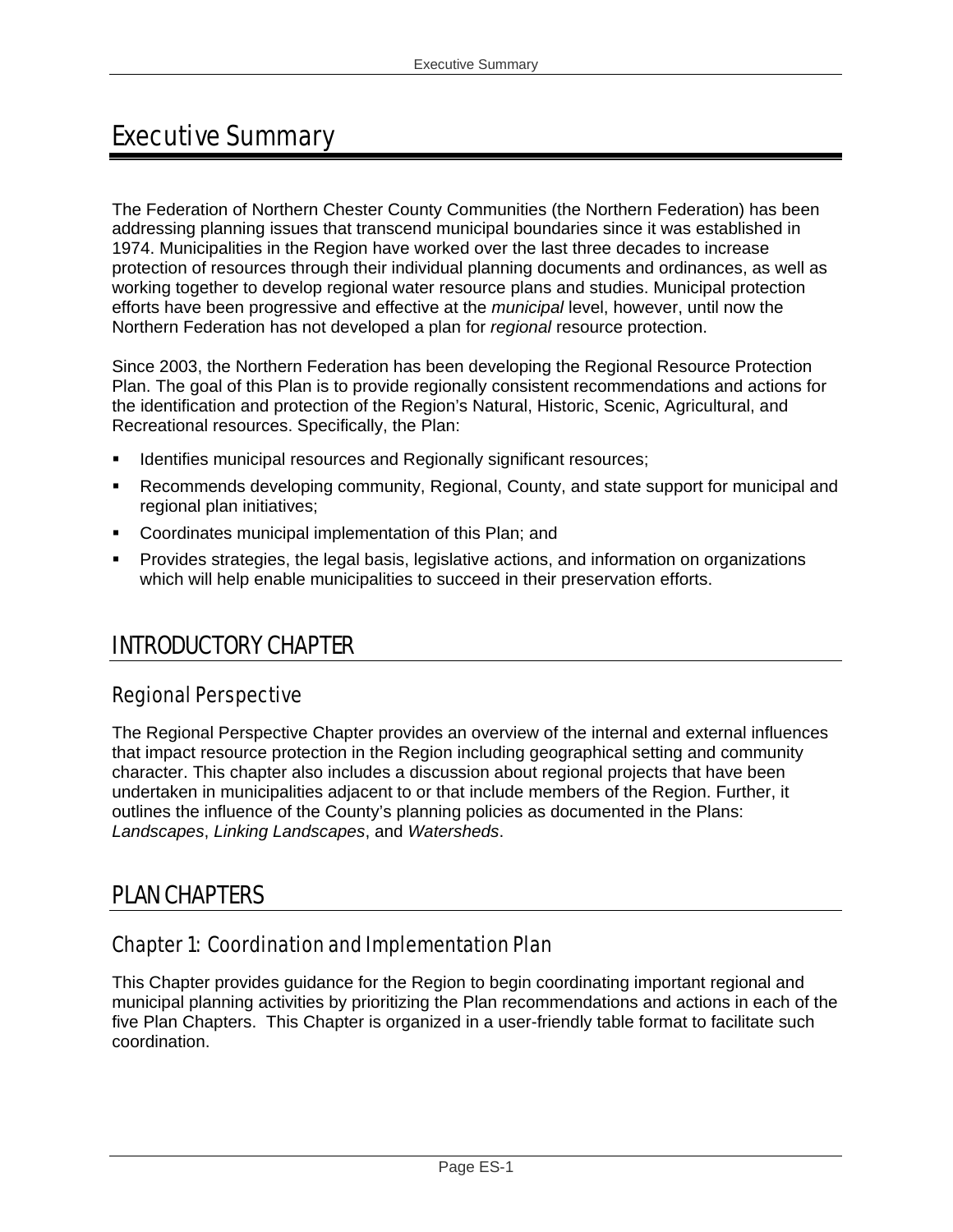# Executive Summary

The Federation of Northern Chester County Communities (the Northern Federation) has been addressing planning issues that transcend municipal boundaries since it was established in 1974. Municipalities in the Region have worked over the last three decades to increase protection of resources through their individual planning documents and ordinances, as well as working together to develop regional water resource plans and studies. Municipal protection efforts have been progressive and effective at the *municipal* level, however, until now the Northern Federation has not developed a plan for *regional* resource protection.

Since 2003, the Northern Federation has been developing the Regional Resource Protection Plan. The goal of this Plan is to provide regionally consistent recommendations and actions for the identification and protection of the Region's Natural, Historic, Scenic, Agricultural, and Recreational resources. Specifically, the Plan:

- Identifies municipal resources and Regionally significant resources;
- Recommends developing community, Regional, County, and state support for municipal and regional plan initiatives;
- **Coordinates municipal implementation of this Plan; and**
- Provides strategies, the legal basis, legislative actions, and information on organizations which will help enable municipalities to succeed in their preservation efforts.

## INTRODUCTORY CHAPTER

#### Regional Perspective

The Regional Perspective Chapter provides an overview of the internal and external influences that impact resource protection in the Region including geographical setting and community character. This chapter also includes a discussion about regional projects that have been undertaken in municipalities adjacent to or that include members of the Region. Further, it outlines the influence of the County's planning policies as documented in the Plans: *Landscapes*, *Linking Landscapes*, and *Watersheds*.

## PLAN CHAPTERS

#### Chapter 1: Coordination and Implementation Plan

This Chapter provides guidance for the Region to begin coordinating important regional and municipal planning activities by prioritizing the Plan recommendations and actions in each of the five Plan Chapters. This Chapter is organized in a user-friendly table format to facilitate such coordination.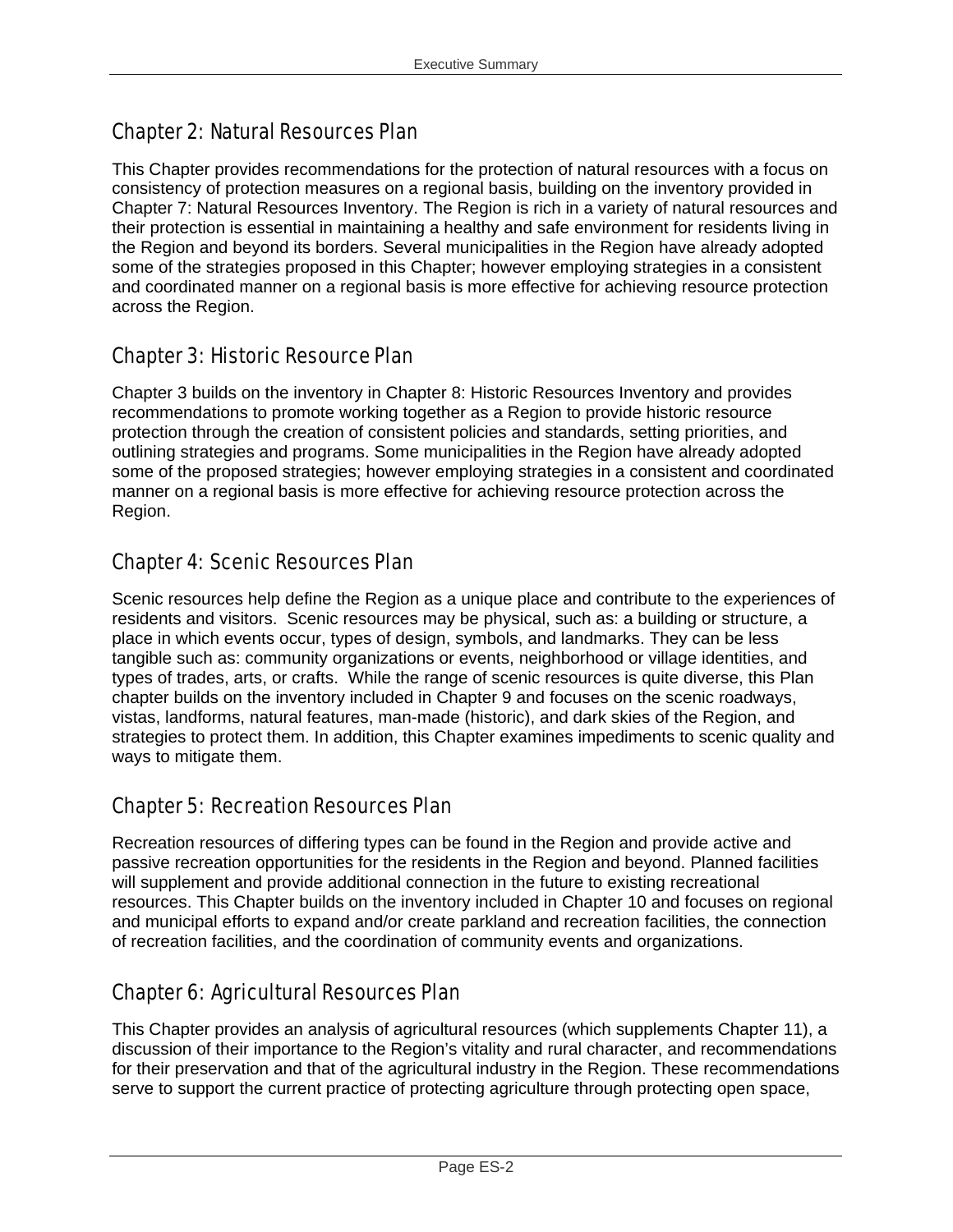## Chapter 2: Natural Resources Plan

This Chapter provides recommendations for the protection of natural resources with a focus on consistency of protection measures on a regional basis, building on the inventory provided in Chapter 7: Natural Resources Inventory. The Region is rich in a variety of natural resources and their protection is essential in maintaining a healthy and safe environment for residents living in the Region and beyond its borders. Several municipalities in the Region have already adopted some of the strategies proposed in this Chapter; however employing strategies in a consistent and coordinated manner on a regional basis is more effective for achieving resource protection across the Region.

## Chapter 3: Historic Resource Plan

Chapter 3 builds on the inventory in Chapter 8: Historic Resources Inventory and provides recommendations to promote working together as a Region to provide historic resource protection through the creation of consistent policies and standards, setting priorities, and outlining strategies and programs. Some municipalities in the Region have already adopted some of the proposed strategies; however employing strategies in a consistent and coordinated manner on a regional basis is more effective for achieving resource protection across the Region.

### Chapter 4: Scenic Resources Plan

Scenic resources help define the Region as a unique place and contribute to the experiences of residents and visitors. Scenic resources may be physical, such as: a building or structure, a place in which events occur, types of design, symbols, and landmarks. They can be less tangible such as: community organizations or events, neighborhood or village identities, and types of trades, arts, or crafts. While the range of scenic resources is quite diverse, this Plan chapter builds on the inventory included in Chapter 9 and focuses on the scenic roadways, vistas, landforms, natural features, man-made (historic), and dark skies of the Region, and strategies to protect them. In addition, this Chapter examines impediments to scenic quality and ways to mitigate them.

## Chapter 5: Recreation Resources Plan

Recreation resources of differing types can be found in the Region and provide active and passive recreation opportunities for the residents in the Region and beyond. Planned facilities will supplement and provide additional connection in the future to existing recreational resources. This Chapter builds on the inventory included in Chapter 10 and focuses on regional and municipal efforts to expand and/or create parkland and recreation facilities, the connection of recreation facilities, and the coordination of community events and organizations.

## Chapter 6: Agricultural Resources Plan

This Chapter provides an analysis of agricultural resources (which supplements Chapter 11), a discussion of their importance to the Region's vitality and rural character, and recommendations for their preservation and that of the agricultural industry in the Region. These recommendations serve to support the current practice of protecting agriculture through protecting open space,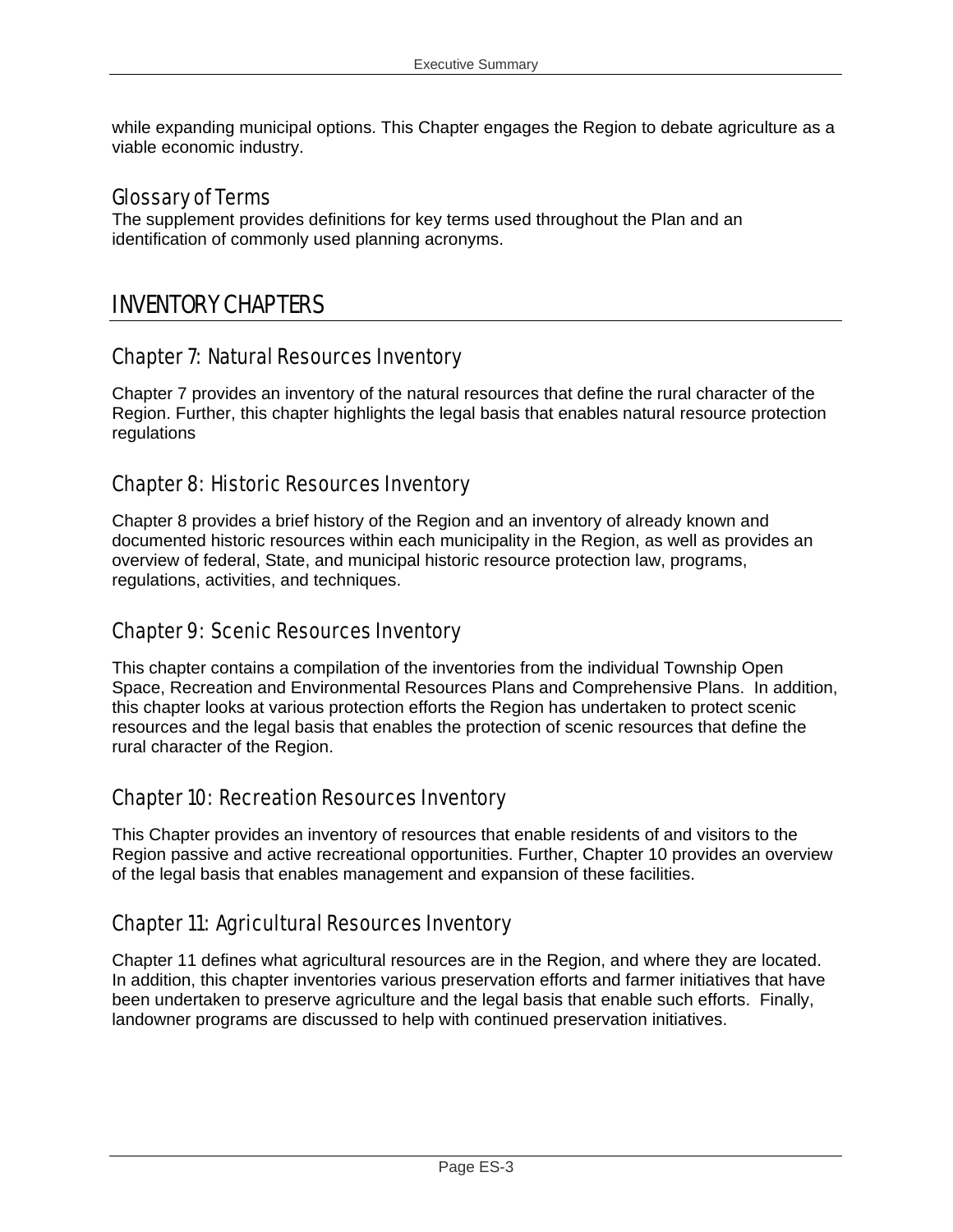while expanding municipal options. This Chapter engages the Region to debate agriculture as a viable economic industry.

#### Glossary of Terms

The supplement provides definitions for key terms used throughout the Plan and an identification of commonly used planning acronyms.

## INVENTORY CHAPTERS

#### Chapter 7: Natural Resources Inventory

Chapter 7 provides an inventory of the natural resources that define the rural character of the Region. Further, this chapter highlights the legal basis that enables natural resource protection regulations

#### Chapter 8: Historic Resources Inventory

Chapter 8 provides a brief history of the Region and an inventory of already known and documented historic resources within each municipality in the Region, as well as provides an overview of federal, State, and municipal historic resource protection law, programs, regulations, activities, and techniques.

#### Chapter 9: Scenic Resources Inventory

This chapter contains a compilation of the inventories from the individual Township Open Space, Recreation and Environmental Resources Plans and Comprehensive Plans. In addition, this chapter looks at various protection efforts the Region has undertaken to protect scenic resources and the legal basis that enables the protection of scenic resources that define the rural character of the Region.

#### Chapter 10: Recreation Resources Inventory

This Chapter provides an inventory of resources that enable residents of and visitors to the Region passive and active recreational opportunities. Further, Chapter 10 provides an overview of the legal basis that enables management and expansion of these facilities.

## Chapter 11: Agricultural Resources Inventory

Chapter 11 defines what agricultural resources are in the Region, and where they are located. In addition, this chapter inventories various preservation efforts and farmer initiatives that have been undertaken to preserve agriculture and the legal basis that enable such efforts. Finally, landowner programs are discussed to help with continued preservation initiatives.